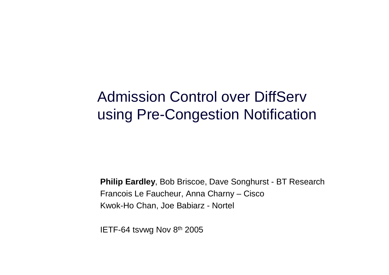#### Admission Control over DiffServ using Pre-Congestion Notification

**Philip Eardley**, Bob Briscoe, Dave Songhurst - BT ResearchFrancois Le Faucheur, Anna Charny – CiscoKwok-Ho Chan, Joe Babiarz - Nortel

IETF-64 tsvwg Nov 8th <sup>2005</sup>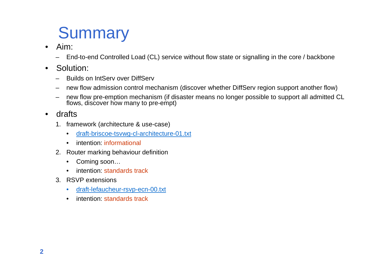# **Summary**

- • Aim:
	- –End-to-end Controlled Load (CL) service without flow state or signalling in the core / backbone
- • Solution:
	- –Builds on IntServ over DiffServ
	- new flow admission control mechanism (discover whether DiffServ region support another flow)
	- –new flow pre-emption mechanism (if disaster means no longer possible to support all admitted CL<br>flows, discover how many to pre-empt)
- $\bullet$  drafts
	- 1. framework (architecture & use-case)
		- •draft-briscoe-tsvwg-cl-architecture-01.txt
		- intention: informational
	- 2. Router marking behaviour definition
		- •Coming soon…
		- intention: standards track $\bullet$
	- 3. RSVP extensions
		- draft-lefaucheur-rsvp-ecn-00.txt •
		- •intention: standards track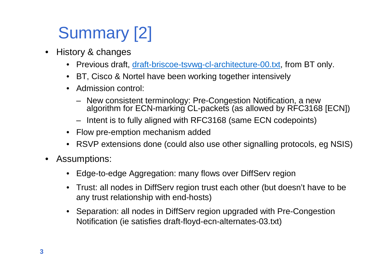# Summary [2]

- • History & changes
	- Previous draft, <u>draft-briscoe-tsvwg-cl-architecture-00.txt</u>, from BT only.
	- BT, Cisco & Nortel have been working together intensively
	- Admission control:
		- New consistent terminology: Pre-Congestion Notification, a new algorithm for ECN-marking CL-packets (as allowed by RFC3168 [ECN])
		- Intent is to fully aligned with RFC3168 (same ECN codepoints)
	- Flow pre-emption mechanism added
	- RSVP extensions done (could also use other signalling protocols, eg NSIS)
- • Assumptions:
	- Edge-to-edge Aggregation: many flows over DiffServ region
	- Trust: all nodes in DiffServ region trust each other (but doesn't have to be any trust relationship with end-hosts)
	- Separation: all nodes in DiffServ region upgraded with Pre-Congestion Notification (ie satisfies draft-floyd-ecn-alternates-03.txt)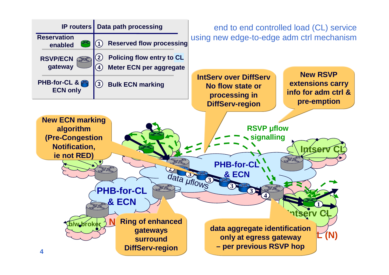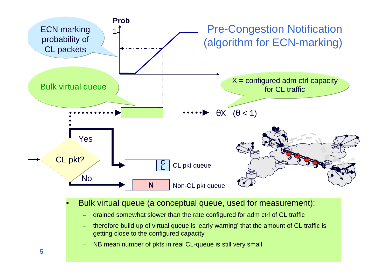

NB mean number of pkts in real CL-queue is still very small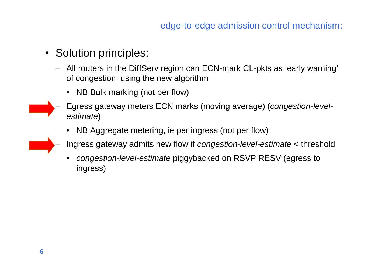- Solution principles:
	- All routers in the DiffServ region can ECN-mark CL-pkts as 'early warning' of congestion, using the new algorithm
		- NB Bulk marking (not per flow)
	- – Egress gateway meters ECN marks (moving average) (congestion-levelestimate)
		- NB Aggregate metering, ie per ingress (not per flow)
	- Ingress gateway admits new flow if congestion-level-estimate < threshold
		- •• *congestion-level-estimate* piggybacked on RSVP RESV (egress to ingress)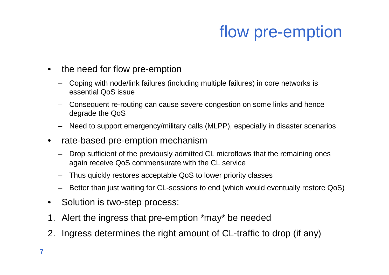# flow pre-emption

- $\bullet$  the need for flow pre-emption
	- – Coping with node/link failures (including multiple failures) in core networks is essential QoS issue
	- Consequent re-routing can cause severe congestion on some links and hence degrade the QoS
	- Need to support emergency/military calls (MLPP), especially in disaster scenarios
- • rate-based pre-emption mechanism
	- Drop sufficient of the previously admitted CL microflows that the remaining ones again receive QoS commensurate with the CL service
	- Thus quickly restores acceptable QoS to lower priority classes
	- Better than just waiting for CL-sessions to end (which would eventually restore QoS)
- •Solution is two-step process:
- 1. Alert the ingress that pre-emption \*may\* be needed
- 2. Ingress determines the right amount of CL-traffic to drop (if any)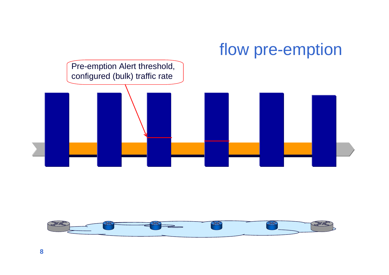## flow pre-emption



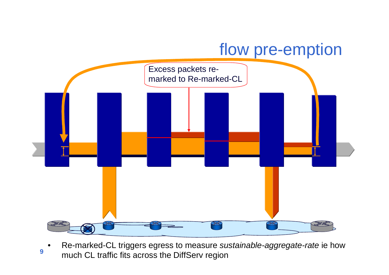#### flow pre-emption



**9**•Re-marked-CL triggers egress to measure sustainable-aggregate-rate ie how much CL traffic fits across the DiffServ region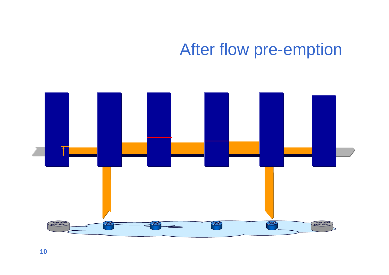### After flow pre-emption

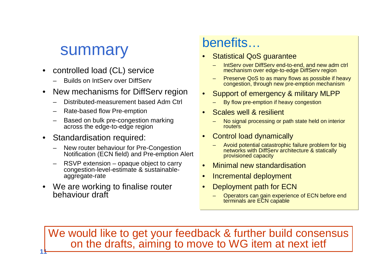#### summary

- • controlled load (CL) service
	- Builds on IntServ over DiffServ
- • New mechanisms for DiffServ region
	- Distributed-measurement based Adm Ctrl
	- Rate-based flow Pre-emption
	- Based on bulk pre-congestion marking across the edge-to-edge region
- Standardisation required:

**11**

- New router behaviour for Pre-Congestion Notification (ECN field) and Pre-emption Alert
- RSVP extension opaque object to carry congestion-level-estimate & sustainableaggregate-rate
- We are working to finalise router behaviour draft

#### benefits…

- Statistical QoS guarantee•
	- IntServ over DiffServ end-to-end, and new adm ctrl mechanism over edge-to-edge DiffServ region
	- Preserve QoS to as many flows as possible if heavy congestion, through new pre-emption mechanism
- Support of emergency & military MLPP•
	- By flow pre-emption if heavy congestion
- • Scales well & resilient
	- No signal processing or path state held on interior routers
- • Control load dynamically
	- Avoid potential catastrophic failure problem for big networks with DiffServ architecture & statically provisioned capacity
- •Minimal new standardisation
- $\bullet$ Incremental deployment
- • Deployment path for ECN
	- Operators can gain experience of ECN before end terminals are ECN capable

We would like to get your feedback & further build consensus on the drafts, aiming to move to WG item at next ietf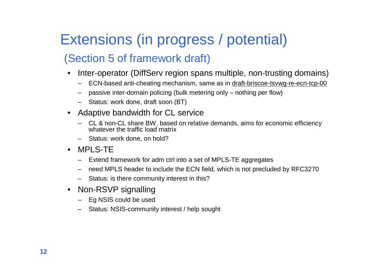#### Extensions (in progress / potential)

#### (Section 5 of framework draft)

- • Inter-operator (DiffServ region spans multiple, non-trusting domains)
	- ECN-based anti-cheating mechanism, same as in draft-briscoe-tsvwg-re-ecn-tcp-00
	- passive inter-domain policing (bulk metering only nothing per flow)
	- Status: work done, draft soon (BT)
- • Adaptive bandwidth for CL service
	- CL & non-CL share BW, based on relative demands, aims for economic efficiency whatever the traffic load matrix
	- Status: work done, on hold?
- $\bullet$  MPLS-TE
	- Extend framework for adm ctrl into a set of MPLS-TE aggregates
	- need MPLS header to include the ECN field, which is not precluded by RFC3270
	- Status: is there community interest in this?
- • Non-RSVP signalling
	- Eg NSIS could be used
	- Status: NSIS-community interest / help sought